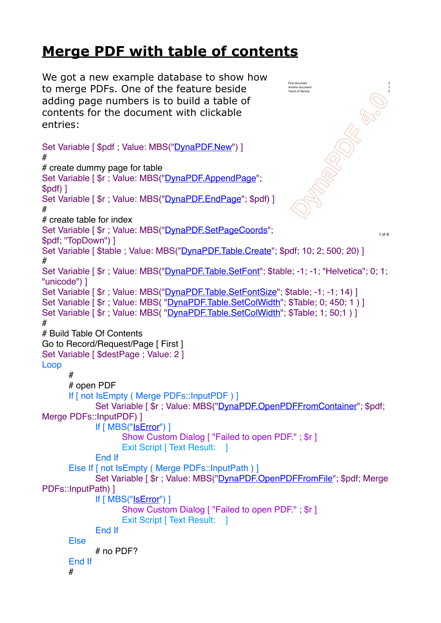## **Merge PDF with table of contents**

**SORROW SURGERIES** We got a new example database to show how to merge PDFs. One of the feature beside adding page numbers is to build a table of contents for the document with clickable entries: Set Variable [ \$pdf ; Value: MBS(["DynaPDF.New](http://www.mbsplugins.eu/DynaPDFNew.shtml)") ] # # create dummy page for table Set Variable [\$r ; Value: MBS("[DynaPDF.AppendPage](http://www.mbsplugins.eu/DynaPDFAppendPage.shtml)"; \$pdf) ] Set Variable [  $\frac{1}{2}$ r ; Value: MBS("[DynaPDF.EndPage"](http://www.mbsplugins.eu/DynaPDFEndPage.shtml); \$pdf) ] # # create table for index Set Variable [  $\frac{1}{2}$ r ; Value: MBS("[DynaPDF.SetPageCoords](http://www.mbsplugins.eu/DynaPDFSetPageCoords.shtml)";  $1$  of  $8$ \$pdf; "TopDown") ] Set Variable [ \$table : Value: MBS("[DynaPDF.Table.Create"](http://www.mbsplugins.eu/DynaPDFTableCreate.shtml): \$pdf: 10: 2: 500: 20) ] # Set Variable [  $\text{\$r}$  ; Value: MBS("[DynaPDF.Table.SetFont"](http://www.mbsplugins.eu/DynaPDFTableSetFont.shtml); \$table; -1; -1; "Helvetica"; 0; 1; "unicode") ] Set Variable [  $\text{\$r}$  ; Value: MBS("[DynaPDF.Table.SetFontSize"](http://www.mbsplugins.eu/DynaPDFTableSetFontSize.shtml); \$table; -1; -1; 14) ] Set Variable [  $\text{\$r}$  ; Value: MBS( "[DynaPDF.Table.SetColWidth"](http://www.mbsplugins.eu/DynaPDFTableSetColWidth.shtml);  $\text{\$Table: 0: } 450; 1)$  ] Set Variable [  $\frac{1}{3}$ r ; Value: MBS( "[DynaPDF.Table.SetColWidth"](http://www.mbsplugins.eu/DynaPDFTableSetColWidth.shtml); \$Table; 1; 50;1 ) ] # # Build Table Of Contents Go to Record/Request/Page [ First ] Set Variable [ \$destPage ; Value: 2 ] Loop # # open PDF If [ not IsEmpty ( Merge PDFs::InputPDF ) ] Set Variable [\$r ; Value: MBS("[DynaPDF.OpenPDFFromContainer"](http://www.mbsplugins.eu/DynaPDFOpenPDFFromContainer.shtml); \$pdf; Merge PDFs::InputPDF) ] If [ MBS("[IsError"](http://www.mbsplugins.eu/IsError.shtml)) ] Show Custom Dialog [ "Failed to open PDF." ; \$r ] Exit Script [ Text Result: 1 End If Else If [ not IsEmpty ( Merge PDFs::InputPath ) ] Set Variable [\$r ; Value: MBS("[DynaPDF.OpenPDFFromFile](http://www.mbsplugins.eu/DynaPDFOpenPDFFromFile.shtml)"; \$pdf; Merge PDFs::InputPath) ] If [ MBS("[IsError"](http://www.mbsplugins.eu/IsError.shtml)) ] Show Custom Dialog [ "Failed to open PDF." ; \$r ] Exit Script [ Text Result: ] End If Else # no PDF? End If #